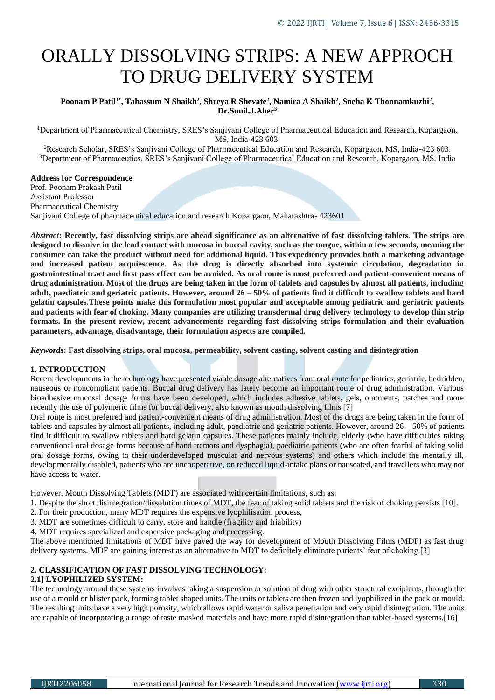# ORALLY DISSOLVING STRIPS: A NEW APPROCH TO DRUG DELIVERY SYSTEM

# **Poonam P Patil1\*, Tabassum N Shaikh<sup>2</sup> , Shreya R Shevate<sup>2</sup> , Namira A Shaikh<sup>2</sup> , Sneha K Thonnamkuzhi<sup>2</sup> , Dr.Sunil.J.Aher<sup>3</sup>**

<sup>1</sup>Department of Pharmaceutical Chemistry, SRES's Sanjivani College of Pharmaceutical Education and Research, Kopargaon, MS, India-423 603.

<sup>2</sup>Research Scholar, SRES's Sanjivani College of Pharmaceutical Education and Research, Kopargaon, MS, India-423 603. <sup>3</sup>Department of Pharmaceutics, SRES's Sanjivani College of Pharmaceutical Education and Research, Kopargaon, MS, India

# **Address for Correspondence**

Prof. Poonam Prakash Patil Assistant Professor Pharmaceutical Chemistry Sanjivani College of pharmaceutical education and research Kopargaon, Maharashtra- 423601

*Abstract***: Recently, fast dissolving strips are ahead significance as an alternative of fast dissolving tablets. The strips are designed to dissolve in the lead contact with mucosa in buccal cavity, such as the tongue, within a few seconds, meaning the consumer can take the product without need for additional liquid. This expediency provides both a marketing advantage and increased patient acquiescence. As the drug is directly absorbed into systemic circulation, degradation in gastrointestinal tract and first pass effect can be avoided. As oral route is most preferred and patient-convenient means of drug administration. Most of the drugs are being taken in the form of tablets and capsules by almost all patients, including adult, paediatric and geriatric patients. However, around 26 – 50% of patients find it difficult to swallow tablets and hard gelatin capsules.These points make this formulation most popular and acceptable among pediatric and geriatric patients and patients with fear of choking. Many companies are utilizing transdermal drug delivery technology to develop thin strip formats. In the present review, recent advancements regarding fast dissolving strips formulation and their evaluation parameters, advantage, disadvantage, their formulation aspects are compiled.**

*Keywords***: Fast dissolving strips, oral mucosa, permeability, solvent casting, solvent casting and disintegration**

## **1. INTRODUCTION**

Recent developments in the technology have presented viable dosage alternatives from oral route for pediatrics, geriatric, bedridden, nauseous or noncompliant patients. Buccal drug delivery has lately become an important route of drug administration. Various bioadhesive mucosal dosage forms have been developed, which includes adhesive tablets, gels, ointments, patches and more recently the use of polymeric films for buccal delivery, also known as mouth dissolving films.[7]

Oral route is most preferred and patient-convenient means of drug administration. Most of the drugs are being taken in the form of tablets and capsules by almost all patients, including adult, paediatric and geriatric patients. However, around  $26 - 50\%$  of patients find it difficult to swallow tablets and hard gelatin capsules. These patients mainly include, elderly (who have difficulties taking conventional oral dosage forms because of hand tremors and dysphagia), paediatric patients (who are often fearful of taking solid oral dosage forms, owing to their underdeveloped muscular and nervous systems) and others which include the mentally ill, developmentally disabled, patients who are uncooperative, on reduced liquid-intake plans or nauseated, and travellers who may not have access to water.

However, Mouth Dissolving Tablets (MDT) are associated with certain limitations, such as:

- 1. Despite the short disintegration/dissolution times of MDT, the fear of taking solid tablets and the risk of choking persists [10].
- 2. For their production, many MDT requires the expensive lyophilisation process,
- 3. MDT are sometimes difficult to carry, store and handle (fragility and friability)

4. MDT requires specialized and expensive packaging and processing.

The above mentioned limitations of MDT have paved the way for development of Mouth Dissolving Films (MDF) as fast drug delivery systems. MDF are gaining interest as an alternative to MDT to definitely eliminate patients' fear of choking.[3]

# **2. CLASSIFICATION OF FAST DISSOLVING TECHNOLOGY:**

#### **2.1] LYOPHILIZED SYSTEM:**

The technology around these systems involves taking a suspension or solution of drug with other structural excipients, through the use of a mould or blister pack, forming tablet shaped units. The units or tablets are then frozen and lyophilized in the pack or mould. The resulting units have a very high porosity, which allows rapid water or saliva penetration and very rapid disintegration. The units are capable of incorporating a range of taste masked materials and have more rapid disintegration than tablet-based systems.[16]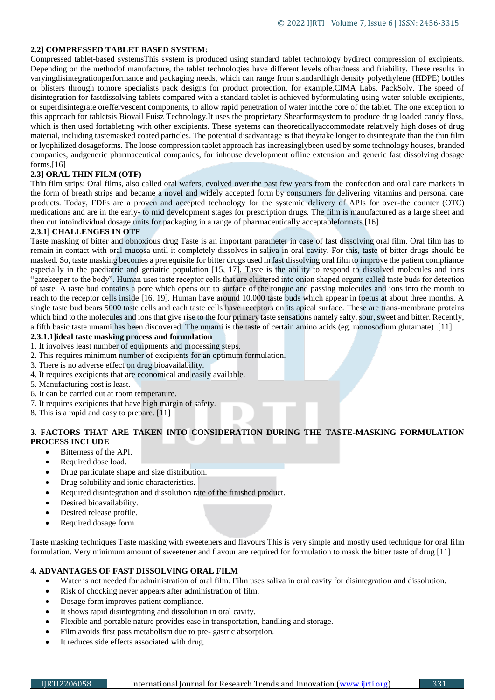# **2.2] COMPRESSED TABLET BASED SYSTEM:**

Compressed tablet-based systemsThis system is produced using standard tablet technology bydirect compression of excipients. Depending on the methodof manufacture, the tablet technologies have different levels ofhardness and friability. These results in varyingdisintegrationperformance and packaging needs, which can range from standardhigh density polyethylene (HDPE) bottles or blisters through tomore specialists pack designs for product protection, for example,CIMA Labs, PackSolv. The speed of disintegration for fastdissolving tablets compared with a standard tablet is achieved byformulating using water soluble excipients, or superdisintegrate oreffervescent components, to allow rapid penetration of water intothe core of the tablet. The one exception to this approach for tabletsis Biovail Fuisz Technology.It uses the proprietary Shearformsystem to produce drug loaded candy floss, which is then used fortableting with other excipients. These systems can theoreticallyaccommodate relatively high doses of drug material, including tastemasked coated particles. The potential disadvantage is that theytake longer to disintegrate than the thin film or lyophilized dosageforms. The loose compression tablet approach has increasinglybeen used by some technology houses, branded companies, andgeneric pharmaceutical companies, for inhouse development ofline extension and generic fast dissolving dosage forms.[16]

# **2.3] ORAL THIN FILM (OTF)**

Thin film strips: Oral films, also called oral wafers, evolved over the past few years from the confection and oral care markets in the form of breath strips and became a novel and widely accepted form by consumers for delivering vitamins and personal care products. Today, FDFs are a proven and accepted technology for the systemic delivery of APIs for over-the counter (OTC) medications and are in the early- to mid development stages for prescription drugs. The film is manufactured as a large sheet and then cut intoindividual dosage units for packaging in a range of pharmaceutically acceptableformats.[16]

# **2.3.1] CHALLENGES IN OTF**

Taste masking of bitter and obnoxious drug Taste is an important parameter in case of fast dissolving oral film. Oral film has to remain in contact with oral mucosa until it completely dissolves in saliva in oral cavity. For this, taste of bitter drugs should be masked. So, taste masking becomes a prerequisite for bitter drugs used in fast dissolving oral film to improve the patient compliance especially in the paediatric and geriatric population [15, 17]. Taste is the ability to respond to dissolved molecules and ions "gatekeeper to the body". Human uses taste receptor cells that are clustered into onion shaped organs called taste buds for detection of taste. A taste bud contains a pore which opens out to surface of the tongue and passing molecules and ions into the mouth to reach to the receptor cells inside [16, 19]. Human have around 10,000 taste buds which appear in foetus at about three months. A single taste bud bears 5000 taste cells and each taste cells have receptors on its apical surface. These are trans-membrane proteins which bind to the molecules and ions that give rise to the four primary taste sensations namely salty, sour, sweet and bitter. Recently, a fifth basic taste umami has been discovered. The umami is the taste of certain amino acids (eg. monosodium glutamate) .[11]

# **2.3.1.1]ideal taste masking process and formulation**

- 1. It involves least number of equipments and processing steps.
- 2. This requires minimum number of excipients for an optimum formulation.
- 3. There is no adverse effect on drug bioavailability.
- 4. It requires excipients that are economical and easily available.
- 5. Manufacturing cost is least.
- 6. It can be carried out at room temperature.
- 7. It requires excipients that have high margin of safety.
- 8. This is a rapid and easy to prepare. [11]

# **3. FACTORS THAT ARE TAKEN INTO CONSIDERATION DURING THE TASTE-MASKING FORMULATION PROCESS INCLUDE**

- Bitterness of the API.
- Required dose load.
- Drug particulate shape and size distribution.
- Drug solubility and ionic characteristics.
- Required disintegration and dissolution rate of the finished product.
- Desired bioavailability.
- Desired release profile.
- Required dosage form.

Taste masking techniques Taste masking with sweeteners and flavours This is very simple and mostly used technique for oral film formulation. Very minimum amount of sweetener and flavour are required for formulation to mask the bitter taste of drug [11]

# **4. ADVANTAGES OF FAST DISSOLVING ORAL FILM**

- Water is not needed for administration of oral film. Film uses saliva in oral cavity for disintegration and dissolution.
- Risk of chocking never appears after administration of film.
- Dosage form improves patient compliance.
- It shows rapid disintegrating and dissolution in oral cavity.
- Flexible and portable nature provides ease in transportation, handling and storage.
- Film avoids first pass metabolism due to pre- gastric absorption.
- It reduces side effects associated with drug.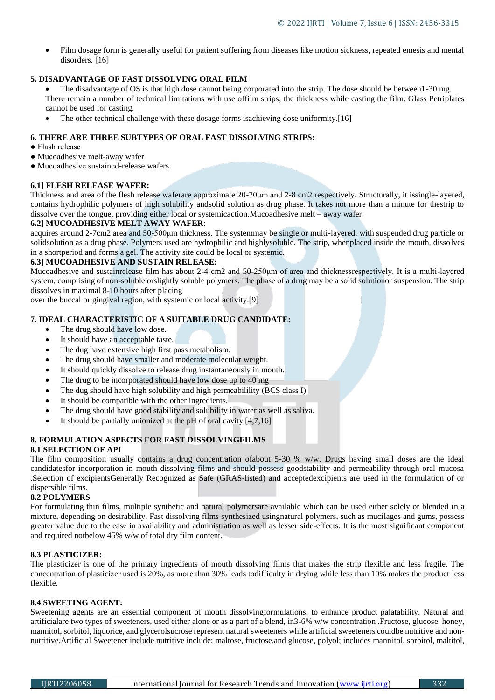Film dosage form is generally useful for patient suffering from diseases like motion sickness, repeated emesis and mental disorders. [16]

# **5. DISADVANTAGE OF FAST DISSOLVING ORAL FILM**

- The disadvantage of OS is that high dose cannot being corporated into the strip. The dose should be between1-30 mg. There remain a number of technical limitations with use offilm strips; the thickness while casting the film. Glass Petriplates cannot be used for casting.
- The other technical challenge with these dosage forms isachieving dose uniformity.[16]

# **6. THERE ARE THREE SUBTYPES OF ORAL FAST DISSOLVING STRIPS:**

- Flash release
- Mucoadhesive melt-away wafer
- Mucoadhesive sustained-release wafers

# **6.1] FLESH RELEASE WAFER:**

Thickness and area of the flesh release waferare approximate 20-70μm and 2-8 cm2 respectively. Structurally, it issingle-layered, contains hydrophilic polymers of high solubility andsolid solution as drug phase. It takes not more than a minute for thestrip to dissolve over the tongue, providing either local or systemicaction.Mucoadhesive melt – away wafer:

# **6.2] MUCOADHESIVE MELT AWAY WAFER**:

acquires around 2-7cm2 area and 50-500μm thickness. The systemmay be single or multi-layered, with suspended drug particle or solidsolution as a drug phase. Polymers used are hydrophilic and highlysoluble. The strip, whenplaced inside the mouth, dissolves in a shortperiod and forms a gel. The activity site could be local or systemic.

# **6.3] MUCOADHESIVE AND SUSTAIN RELEASE:**

Mucoadhesive and sustainrelease film has about 2-4 cm2 and 50-250μm of area and thicknessrespectively. It is a multi-layered system, comprising of non-soluble orslightly soluble polymers. The phase of a drug may be a solid solutionor suspension. The strip dissolves in maximal 8-10 hours after placing

over the buccal or gingival region, with systemic or local activity.[9]

# **7. IDEAL CHARACTERISTIC OF A SUITABLE DRUG CANDIDATE:**

- The drug should have low dose.
- It should have an acceptable taste.
- The dug have extensive high first pass metabolism.
- The drug should have smaller and moderate molecular weight.
- It should quickly dissolve to release drug instantaneously in mouth.
- The drug to be incorporated should have low dose up to 40 mg
- The dug should have high solubility and high permeabilility (BCS class I).
- It should be compatible with the other ingredients.
- The drug should have good stability and solubility in water as well as saliva.
- $\bullet$  It should be partially unionized at the pH of oral cavity.[4,7,16]

# **8. FORMULATION ASPECTS FOR FAST DISSOLVINGFILMS**

# **8.1 SELECTION OF API**

The film composition usually contains a drug concentration ofabout 5-30 % w/w. Drugs having small doses are the ideal candidatesfor incorporation in mouth dissolving films and should possess goodstability and permeability through oral mucosa .Selection of excipientsGenerally Recognized as Safe (GRAS-listed) and acceptedexcipients are used in the formulation of or dispersible films.

# **8.2 POLYMERS**

For formulating thin films, multiple synthetic and natural polymersare available which can be used either solely or blended in a mixture, depending on desirability. Fast dissolving films synthesized usingnatural polymers, such as mucilages and gums, possess greater value due to the ease in availability and administration as well as lesser side-effects. It is the most significant component and required notbelow 45% w/w of total dry film content.

# **8.3 PLASTICIZER:**

The plasticizer is one of the primary ingredients of mouth dissolving films that makes the strip flexible and less fragile. The concentration of plasticizer used is 20%, as more than 30% leads todifficulty in drying while less than 10% makes the product less flexible.

#### **8.4 SWEETING AGENT:**

Sweetening agents are an essential component of mouth dissolvingformulations, to enhance product palatability. Natural and artificialare two types of sweeteners, used either alone or as a part of a blend, in3-6% w/w concentration .Fructose, glucose, honey, mannitol, sorbitol, liquorice, and glycerolsucrose represent natural sweeteners while artificial sweeteners couldbe nutritive and nonnutritive.Artificial Sweetener include nutritive include; maltose, fructose,and glucose, polyol; includes mannitol, sorbitol, maltitol,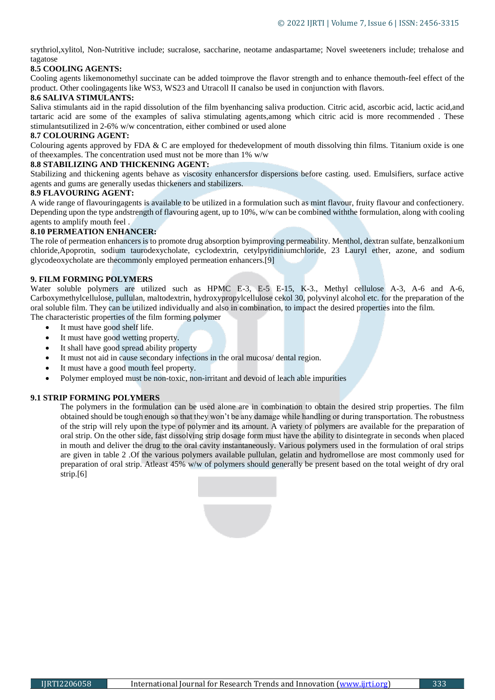srythriol,xylitol, Non-Nutritive include; sucralose, saccharine, neotame andaspartame; Novel sweeteners include; trehalose and tagatose

# **8.5 COOLING AGENTS:**

Cooling agents likemonomethyl succinate can be added toimprove the flavor strength and to enhance themouth-feel effect of the product. Other coolingagents like WS3, WS23 and Utracoll II canalso be used in conjunction with flavors.

# **8.6 SALIVA STIMULANTS:**

Saliva stimulants aid in the rapid dissolution of the film byenhancing saliva production. Citric acid, ascorbic acid, lactic acid,and tartaric acid are some of the examples of saliva stimulating agents,among which citric acid is more recommended . These stimulantsutilized in 2-6% w/w concentration, either combined or used alone

# **8.7 COLOURING AGENT:**

Colouring agents approved by FDA  $&$  C are employed for thedevelopment of mouth dissolving thin films. Titanium oxide is one of theexamples. The concentration used must not be more than 1% w/w

# **8.8 STABILIZING AND THICKENING AGENT:**

Stabilizing and thickening agents behave as viscosity enhancersfor dispersions before casting. used. Emulsifiers, surface active agents and gums are generally usedas thickeners and stabilizers.

# **8.9 FLAVOURING AGENT:**

A wide range of flavouringagents is available to be utilized in a formulation such as mint flavour, fruity flavour and confectionery. Depending upon the type andstrength of flavouring agent, up to 10%, w/w can be combined withthe formulation, along with cooling agents to amplify mouth feel .

# **8.10 PERMEATION ENHANCER:**

The role of permeation enhancers is to promote drug absorption byimproving permeability. Menthol, dextran sulfate, benzalkonium chloride,Apoprotin, sodium taurodexycholate, cyclodextrin, cetylpyridiniumchloride, 23 Lauryl ether, azone, and sodium glycodeoxycholate are thecommonly employed permeation enhancers.[9]

# **9. FILM FORMING POLYMERS**

Water soluble polymers are utilized such as HPMC E-3, E-5 E-15, K-3., Methyl cellulose A-3, A-6 and A-6, Carboxymethylcellulose, pullulan, maltodextrin, hydroxypropylcellulose cekol 30, polyvinyl alcohol etc. for the preparation of the oral soluble film. They can be utilized individually and also in combination, to impact the desired properties into the film. The characteristic properties of the film forming polymer

- It must have good shelf life.
- It must have good wetting property.
- It shall have good spread ability property
- It must not aid in cause secondary infections in the oral mucosa/ dental region.
- It must have a good mouth feel property.
- Polymer employed must be non-toxic, non-irritant and devoid of leach able impurities

# **9.1 STRIP FORMING POLYMERS**

The polymers in the formulation can be used alone are in combination to obtain the desired strip properties. The film obtained should be tough enough so that they won't be any damage while handling or during transportation. The robustness of the strip will rely upon the type of polymer and its amount. A variety of polymers are available for the preparation of oral strip. On the other side, fast dissolving strip dosage form must have the ability to disintegrate in seconds when placed in mouth and deliver the drug to the oral cavity instantaneously. Various polymers used in the formulation of oral strips are given in table 2 .Of the various polymers available pullulan, gelatin and hydromellose are most commonly used for preparation of oral strip. Atleast 45% w/w of polymers should generally be present based on the total weight of dry oral strip.[6]

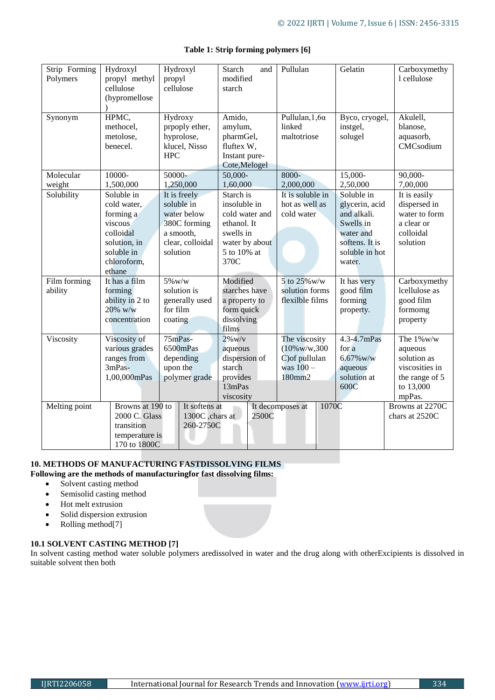| Strip Forming<br>Polymers | Hydroxyl<br>propyl methyl<br>cellulose<br>(hypromellose                                                               | Hydroxyl<br>propyl<br>cellulose                                                                        | Starch<br>and<br>modified<br>starch                                                                              | Pullulan                                                                            | Gelatin                                                                                                             | Carboxymethy<br>1 cellulose                                                                        |
|---------------------------|-----------------------------------------------------------------------------------------------------------------------|--------------------------------------------------------------------------------------------------------|------------------------------------------------------------------------------------------------------------------|-------------------------------------------------------------------------------------|---------------------------------------------------------------------------------------------------------------------|----------------------------------------------------------------------------------------------------|
| Synonym                   | HPMC,<br>methocel,<br>metolose,<br>benecel.                                                                           | Hydroxy<br>prpoply ether,<br>hyprolose,<br>klucel, Nisso<br><b>HPC</b>                                 | Amido,<br>amylum,<br>pharmGel,<br>fluftex W,<br>Instant pure-<br>Cote, Melogel                                   | Pullulan, $1, 6\alpha$<br>linked<br>maltotriose                                     | Byco, cryogel,<br>instgel,<br>solugel                                                                               | Akulell,<br>blanose,<br>aquasorb,<br>CMCsodium                                                     |
| Molecular                 | 10000-                                                                                                                | 50000-                                                                                                 | 50,000-                                                                                                          | 8000-                                                                               | $15,000-$                                                                                                           | $90,000-$                                                                                          |
| weight                    | 1,500,000                                                                                                             | 1,250,000                                                                                              | 1,60,000                                                                                                         | 2,000,000                                                                           | 2,50,000                                                                                                            | 7,00,000                                                                                           |
| Solubility                | Soluble in<br>cold water,<br>forming a<br>viscous<br>colloidal<br>solution, in<br>soluble in<br>chloroform,<br>ethane | It is freely<br>soluble in<br>water below<br>380C forming<br>a smooth,<br>clear, colloidal<br>solution | Starch is<br>insoluble in<br>cold water and<br>ethanol. It<br>swells in<br>water by about<br>5 to 10% at<br>370C | It is soluble in<br>hot as well as<br>cold water                                    | Soluble in<br>glycerin, acid<br>and alkali.<br>Swells in<br>water and<br>softens. It is<br>soluble in hot<br>water. | It is easily<br>dispersed in<br>water to form<br>a clear or<br>colloidal<br>solution               |
| Film forming<br>ability   | It has a film<br>forming<br>ability in 2 to<br>20% w/w<br>concentration                                               | 5% w/w<br>solution is<br>generally used<br>for film<br>coating                                         | Modified<br>starches have<br>a property to<br>form quick<br>dissolving<br>films                                  | 5 to 25% w/w<br>solution forms<br>flexilble films                                   | It has very<br>good film<br>forming<br>property.                                                                    | Carboxymethy<br>lcellulose as<br>good film<br>formomg<br>property                                  |
| Viscosity                 | Viscosity of<br>various grades<br>ranges from<br>3mPas-<br>1,00,000mPas                                               | 75mPas-<br>6500mPas<br>depending<br>upon the<br>polymer grade                                          | $2\%$ w/v<br>aqueous<br>dispersion of<br>starch<br>provides<br>13mPas<br>viscosity                               | The viscosity<br>$(10\% \text{w/w}, 300$<br>C) of pullulan<br>was $100 -$<br>180mm2 | 4.3-4.7mPas<br>for a<br>6.67% w/w<br>aqueous<br>solution at<br>600C                                                 | The $1\%$ w/w<br>aqueous<br>solution as<br>viscosities in<br>the range of 5<br>to 13,000<br>mpPas. |
| Melting point             | Browns at 190 to<br>2000 C. Glass<br>transition<br>temperature is<br>170 to 1800C                                     | It softens at<br>1300C ,chars at<br>260-2750C                                                          | 2500C                                                                                                            | 1070C<br>It decomposes at                                                           |                                                                                                                     | Browns at 2270C<br>chars at 2520C                                                                  |

# **Table 1: Strip forming polymers [6]**

# **10. METHODS OF MANUFACTURING FASTDISSOLVING FILMS**

**Following are the methods of manufacturingfor fast dissolving films:**

- Solvent casting method
- Semisolid casting method
- Hot melt extrusion
- Solid dispersion extrusion
- Rolling method[7]

# **10.1 SOLVENT CASTING METHOD [7]**

In solvent casting method water soluble polymers aredissolved in water and the drug along with otherExcipients is dissolved in suitable solvent then both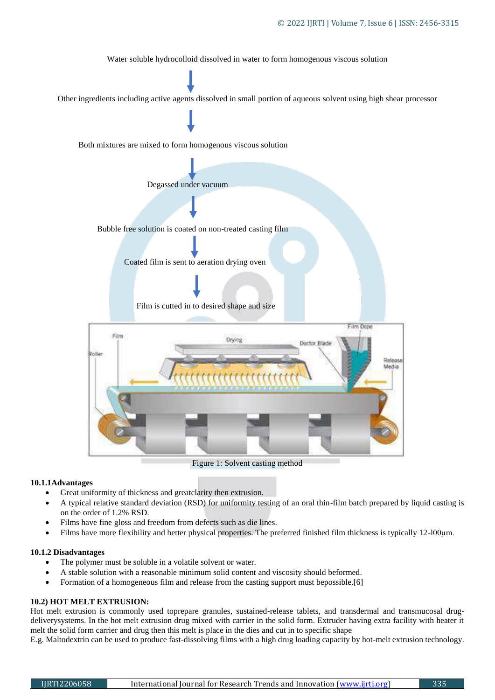

Figure 1: Solvent casting method

# **10.1.1Advantages**

- Great uniformity of thickness and greatclarity then extrusion.
- A typical relative standard deviation (RSD) for uniformity testing of an oral thin-film batch prepared by liquid casting is on the order of 1.2% RSD.
- Films have fine gloss and freedom from defects such as die lines.
- Films have more flexibility and better physical properties. The preferred finished film thickness is typically 12-l00μm.

# **10.1.2 Disadvantages**

- The polymer must be soluble in a volatile solvent or water.
- A stable solution with a reasonable minimum solid content and viscosity should beformed.
- Formation of a homogeneous film and release from the casting support must bepossible.[6]

# **10.2) HOT MELT EXTRUSION:**

Hot melt extrusion is commonly used toprepare granules, sustained-release tablets, and transdermal and transmucosal drugdeliverysystems. In the hot melt extrusion drug mixed with carrier in the solid form. Extruder having extra facility with heater it melt the solid form carrier and drug then this melt is place in the dies and cut in to specific shape

E.g. Maltodextrin can be used to produce fast-dissolving films with a high drug loading capacity by hot-melt extrusion technology.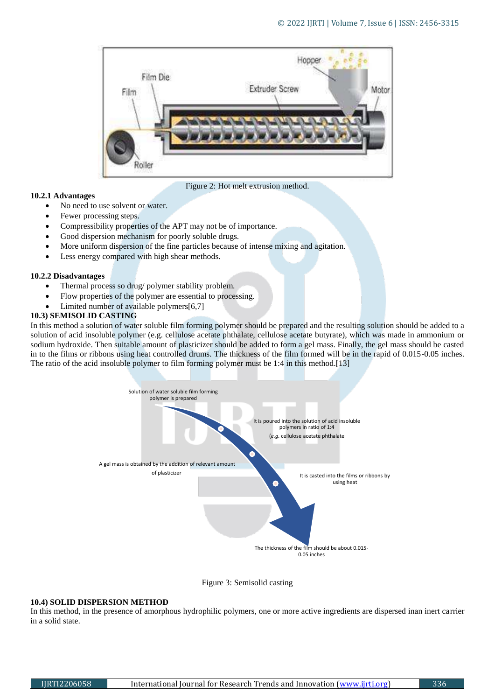

Figure 2: Hot melt extrusion method.

## **10.2.1 Advantages**

- No need to use solvent or water.
- Fewer processing steps.
- Compressibility properties of the APT may not be of importance.
- Good dispersion mechanism for poorly soluble drugs.
- More uniform dispersion of the fine particles because of intense mixing and agitation.
- Less energy compared with high shear methods.

### **10.2.2 Disadvantages**

- Thermal process so drug/ polymer stability problem.
- Flow properties of the polymer are essential to processing.
- Limited number of available polymers[6,7]

# **10.3) SEMISOLID CASTING**

In this method a solution of water soluble film forming polymer should be prepared and the resulting solution should be added to a solution of acid insoluble polymer (e.g. cellulose acetate phthalate, cellulose acetate butyrate), which was made in ammonium or sodium hydroxide. Then suitable amount of plasticizer should be added to form a gel mass. Finally, the gel mass should be casted in to the films or ribbons using heat controlled drums. The thickness of the film formed will be in the rapid of 0.015-0.05 inches. The ratio of the acid insoluble polymer to film forming polymer must be 1:4 in this method.[13]





#### **10.4) SOLID DISPERSION METHOD**

In this method, in the presence of amorphous hydrophilic polymers, one or more active ingredients are dispersed inan inert carrier in a solid state.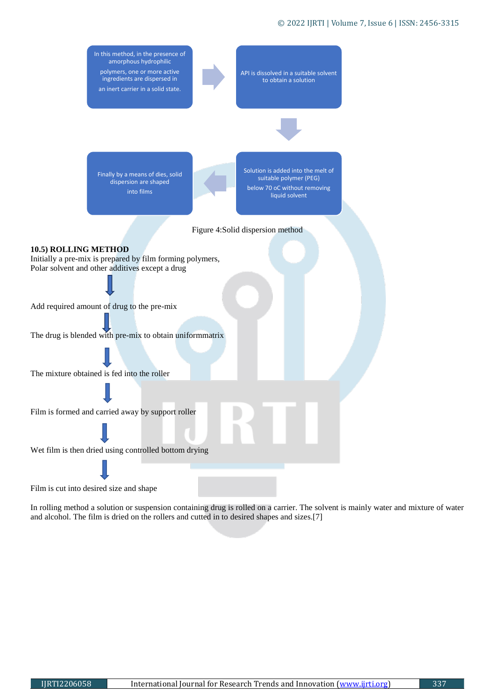## © 2022 IJRTI | Volume 7, Issue 6 | ISSN: 2456-3315



In rolling method a solution or suspension containing drug is rolled on a carrier. The solvent is mainly water and mixture of water and alcohol. The film is dried on the rollers and cutted in to desired shapes and sizes.[7]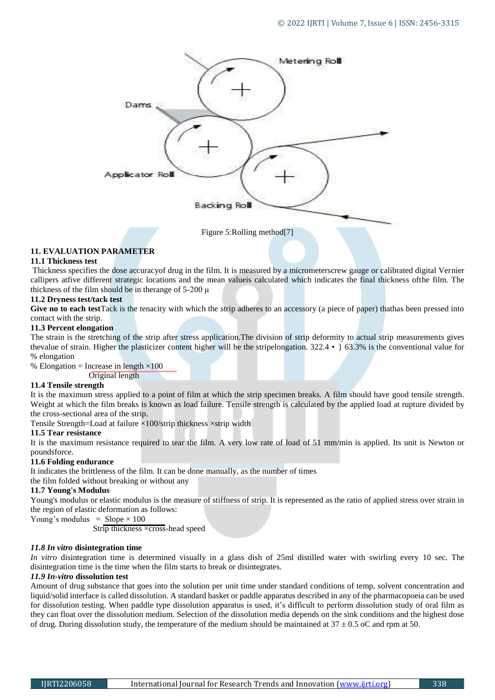

# **11. EVALUATION PARAMETER**

# **11.1 Thickness test**

Thickness specifies the dose accuracyof drug in the film. It is measured by a micrometerscrew gauge or calibrated digital Vernier callipers atfive different strategic locations and the mean valueis calculated which indicates the final thickness ofthe film. The thickness of the film should be in the range of  $5-200 \mu$ 

# **11.2 Dryness test/tack test**

**Give no to each test**Tack is the tenacity with which the strip adheres to an accessory (a piece of paper) thathas been pressed into contact with the strip.

# **11.3 Percent elongation**

The strain is the stretching of the strip after stress application.The division of strip deformity to actual strip measurements gives thevalue of strain. Higher the plasticizer content higher will be the stripelongation. 322.4 •} 63.3% is the conventional value for % elongation

% Elongation = Increase in length  $\times 100$ Original length

# **11.4 Tensile strength**

It is the maximum stress applied to a point of film at which the strip specimen breaks. A film should have good tensile strength. Weight at which the film breaks is known as load failure. Tensile strength is calculated by the applied load at rupture divided by the cross-sectional area of the strip.

Tensile Strength=Load at failure  $\times$ 100/strip thickness  $\times$ strip width

# **11.5 Tear resistance**

It is the maximum resistance required to tear the film. A very low rate of load of 51 mm/min is applied. Its unit is Newton or poundsforce.

# **11.6 Folding endurance**

It indicates the brittleness of the film. It can be done manually, as the number of times

the film folded without breaking or without any

# **11.7 Young's Modulus**

Young's modulus or elastic modulus is the measure of stiffness of strip. It is represented as the ratio of applied stress over strain in the region of elastic deformation as follows:

Young's modulus =  $Slope \times 100$ 

Strip thickness ×cross-head speed

# *11.8 In vitro* **disintegration time**

*In vitro* disintegration time is determined visually in a glass dish of 25ml distilled water with swirling every 10 sec. The disintegration time is the time when the film starts to break or disintegrates.

# *11.9 In-vitro* **dissolution test**

Amount of drug substance that goes into the solution per unit time under standard conditions of temp, solvent concentration and liquid/solid interface is called dissolution. A standard basket or paddle apparatus described in any of the pharmacopoeia can be used for dissolution testing. When paddle type dissolution apparatus is used, it's difficult to perform dissolution study of oral film as they can float over the dissolution medium. Selection of the dissolution media depends on the sink conditions and the highest dose of drug. During dissolution study, the temperature of the medium should be maintained at  $37 \pm 0.5$  oC and rpm at 50.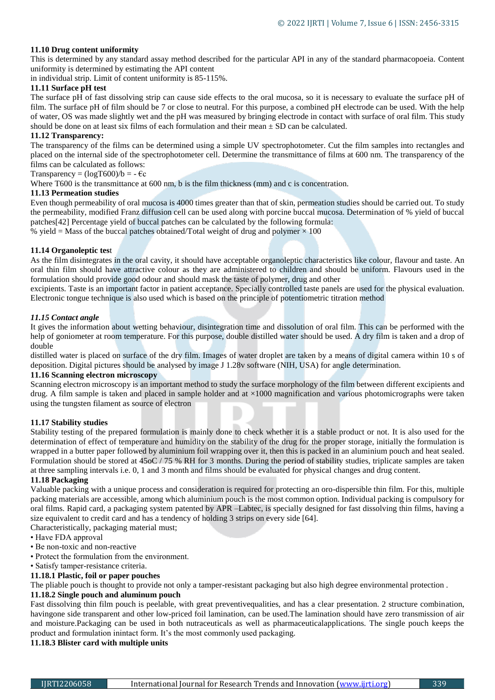# **11.10 Drug content uniformity**

This is determined by any standard assay method described for the particular API in any of the standard pharmacopoeia. Content uniformity is determined by estimating the API content

in individual strip. Limit of content uniformity is 85-115%.

# **11.11 Surface pH test**

The surface pH of fast dissolving strip can cause side effects to the oral mucosa, so it is necessary to evaluate the surface pH of film. The surface pH of film should be 7 or close to neutral. For this purpose, a combined pH electrode can be used. With the help of water, OS was made slightly wet and the pH was measured by bringing electrode in contact with surface of oral film. This study should be done on at least six films of each formulation and their mean  $\pm$  SD can be calculated.

# **11.12 Transparency:**

The transparency of the films can be determined using a simple UV spectrophotometer. Cut the film samples into rectangles and placed on the internal side of the spectrophotometer cell. Determine the transmittance of films at 600 nm. The transparency of the films can be calculated as follows:

Transparency =  $(logT600)/b = -\epsilon c$ 

Where T600 is the transmittance at 600 nm, b is the film thickness (mm) and c is concentration.

# **11.13 Permeation studies**

Even though permeability of oral mucosa is 4000 times greater than that of skin, permeation studies should be carried out. To study the permeability, modified Franz diffusion cell can be used along with porcine buccal mucosa. Determination of % yield of buccal patches[42] Percentage yield of buccal patches can be calculated by the following formula:

% yield = Mass of the buccal patches obtained/Total weight of drug and polymer  $\times$  100

# **11.14 Organoleptic tes**t

As the film disintegrates in the oral cavity, it should have acceptable organoleptic characteristics like colour, flavour and taste. An oral thin film should have attractive colour as they are administered to children and should be uniform. Flavours used in the formulation should provide good odour and should mask the taste of polymer, drug and other

excipients. Taste is an important factor in patient acceptance. Specially controlled taste panels are used for the physical evaluation. Electronic tongue technique is also used which is based on the principle of potentiometric titration method

# *11.15 Contact angle*

It gives the information about wetting behaviour, disintegration time and dissolution of oral film. This can be performed with the help of goniometer at room temperature. For this purpose, double distilled water should be used. A dry film is taken and a drop of double

distilled water is placed on surface of the dry film. Images of water droplet are taken by a means of digital camera within 10 s of deposition. Digital pictures should be analysed by image J 1.28v software (NIH, USA) for angle determination.

# **11.16 Scanning electron microscopy**

Scanning electron microscopy is an important method to study the surface morphology of the film between different excipients and drug. A film sample is taken and placed in sample holder and at  $\times 1000$  magnification and various photomicrographs were taken using the tungsten filament as source of electron

# **11.17 Stability studies**

Stability testing of the prepared formulation is mainly done to check whether it is a stable product or not. It is also used for the determination of effect of temperature and humidity on the stability of the drug for the proper storage, initially the formulation is wrapped in a butter paper followed by aluminium foil wrapping over it, then this is packed in an aluminium pouch and heat sealed. Formulation should be stored at 45oC / 75 % RH for 3 months. During the period of stability studies, triplicate samples are taken at three sampling intervals i.e. 0, 1 and 3 month and films should be evaluated for physical changes and drug content.

# **11.18 Packaging**

Valuable packing with a unique process and consideration is required for protecting an oro-dispersible thin film. For this, multiple packing materials are accessible, among which aluminium pouch is the most common option. Individual packing is compulsory for oral films. Rapid card, a packaging system patented by APR –Labtec, is specially designed for fast dissolving thin films, having a size equivalent to credit card and has a tendency of holding 3 strips on every side [64].

Characteristically, packaging material must;

- Have FDA approval
- Be non-toxic and non-reactive
- Protect the formulation from the environment.
- Satisfy tamper-resistance criteria.

# **11.18.1 Plastic, foil or paper pouches**

The pliable pouch is thought to provide not only a tamper-resistant packaging but also high degree environmental protection .

# **11.18.2 Single pouch and aluminum pouch**

Fast dissolving thin film pouch is peelable, with great preventivequalities, and has a clear presentation. 2 structure combination, havingone side transparent and other low-priced foil lamination, can be used.The lamination should have zero transmission of air and moisture.Packaging can be used in both nutraceuticals as well as pharmaceuticalapplications. The single pouch keeps the product and formulation inintact form. It's the most commonly used packaging.

## **11.18.3 Blister card with multiple units**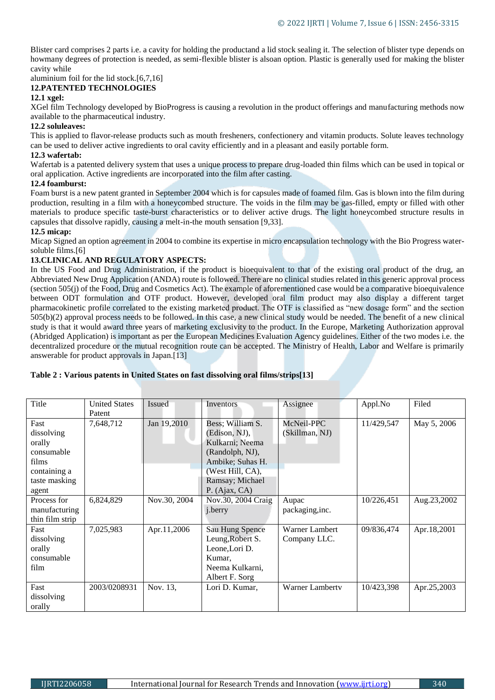Blister card comprises 2 parts i.e. a cavity for holding the productand a lid stock sealing it. The selection of blister type depends on howmany degrees of protection is needed, as semi-flexible blister is alsoan option. Plastic is generally used for making the blister cavity while

#### aluminium foil for the lid stock.[6,7,16] **12.PATENTED TECHNOLOGIES**

# **12.1 xgel:**

XGel film Technology developed by BioProgress is causing a revolution in the product offerings and manufacturing methods now available to the pharmaceutical industry.

# **12.2 soluleaves:**

This is applied to flavor-release products such as mouth fresheners, confectionery and vitamin products. Solute leaves technology can be used to deliver active ingredients to oral cavity efficiently and in a pleasant and easily portable form.

# **12.3 wafertab:**

Wafertab is a patented delivery system that uses a unique process to prepare drug-loaded thin films which can be used in topical or oral application. Active ingredients are incorporated into the film after casting.

# **12.4 foamburst:**

Foam burst is a new patent granted in September 2004 which is for capsules made of foamed film. Gas is blown into the film during production, resulting in a film with a honeycombed structure. The voids in the film may be gas-filled, empty or filled with other materials to produce specific taste-burst characteristics or to deliver active drugs. The light honeycombed structure results in capsules that dissolve rapidly, causing a melt-in-the mouth sensation [9,33].

# **12.5 micap:**

Micap Signed an option agreement in 2004 to combine its expertise in micro encapsulation technology with the Bio Progress watersoluble films.[6]

# **13.CLINICAL AND REGULATORY ASPECTS:**

In the US Food and Drug Administration, if the product is bioequivalent to that of the existing oral product of the drug, an Abbreviated New Drug Application (ANDA) route is followed. There are no clinical studies related in this generic approval process (section 505(j) of the Food, Drug and Cosmetics Act). The example of aforementioned case would be a comparative bioequivalence between ODT formulation and OTF product. However, developed oral film product may also display a different target pharmacokinetic profile correlated to the existing marketed product. The OTF is classified as "new dosage form" and the section 505(b)(2) approval process needs to be followed. In this case, a new clinical study would be needed. The benefit of a new clinical study is that it would award three years of marketing exclusivity to the product. In the Europe, Marketing Authorization approval (Abridged Application) is important as per the European Medicines Evaluation Agency guidelines. Either of the two modes i.e. the decentralized procedure or the mutual recognition route can be accepted. The Ministry of Health, Labor and Welfare is primarily answerable for product approvals in Japan.[13]

| Title                                                                                         | <b>United States</b><br>Patent | <b>Issued</b> | Inventors                                                                                                                                           | Assignee                       | Appl.No    | Filed         |
|-----------------------------------------------------------------------------------------------|--------------------------------|---------------|-----------------------------------------------------------------------------------------------------------------------------------------------------|--------------------------------|------------|---------------|
| Fast<br>dissolving<br>orally<br>consumable<br>films<br>containing a<br>taste masking<br>agent | 7,648,712                      | Jan 19,2010   | Bess; William S.<br>(Edison, NJ),<br>Kulkarni; Neema<br>(Randolph, NJ),<br>Ambike; Suhas H.<br>(West Hill, CA),<br>Ramsay; Michael<br>P. (Ajax, CA) | McNeil-PPC<br>(Skillman, NJ)   | 11/429,547 | May 5, 2006   |
| Process for<br>manufacturing<br>thin film strip                                               | 6,824,829                      | Nov.30, 2004  | Nov.30, 2004 Craig<br><i>j</i> .berry                                                                                                               | Aupac<br>packaging, inc.       | 10/226,451 | Aug. 23, 2002 |
| Fast<br>dissolving<br>orally<br>consumable<br>film                                            | 7,025,983                      | Apr.11,2006   | Sau Hung Spence<br>Leung, Robert S.<br>Leone, Lori D.<br>Kumar.<br>Neema Kulkarni,<br>Albert F. Sorg                                                | Warner Lambert<br>Company LLC. | 09/836,474 | Apr.18,2001   |
| Fast<br>dissolving<br>orally                                                                  | 2003/0208931                   | Nov. 13,      | Lori D. Kumar,                                                                                                                                      | <b>Warner Lamberty</b>         | 10/423,398 | Apr.25,2003   |

# **Table 2 : Various patents in United States on fast dissolving oral films/strips[13]**